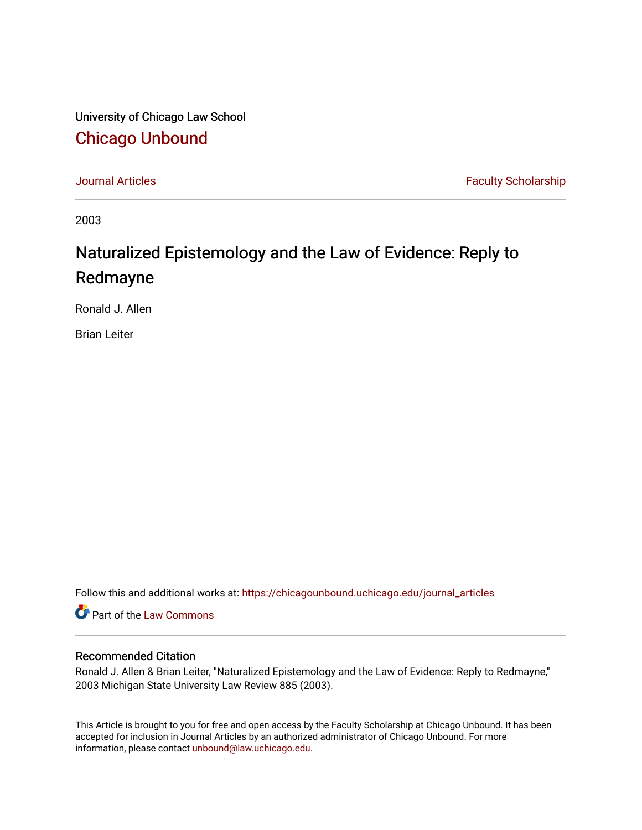University of Chicago Law School [Chicago Unbound](https://chicagounbound.uchicago.edu/)

[Journal Articles](https://chicagounbound.uchicago.edu/journal_articles) **Faculty Scholarship Journal Articles** 

2003

## Naturalized Epistemology and the Law of Evidence: Reply to Redmayne

Ronald J. Allen

Brian Leiter

Follow this and additional works at: [https://chicagounbound.uchicago.edu/journal\\_articles](https://chicagounbound.uchicago.edu/journal_articles?utm_source=chicagounbound.uchicago.edu%2Fjournal_articles%2F410&utm_medium=PDF&utm_campaign=PDFCoverPages) 

Part of the [Law Commons](http://network.bepress.com/hgg/discipline/578?utm_source=chicagounbound.uchicago.edu%2Fjournal_articles%2F410&utm_medium=PDF&utm_campaign=PDFCoverPages)

## Recommended Citation

Ronald J. Allen & Brian Leiter, "Naturalized Epistemology and the Law of Evidence: Reply to Redmayne," 2003 Michigan State University Law Review 885 (2003).

This Article is brought to you for free and open access by the Faculty Scholarship at Chicago Unbound. It has been accepted for inclusion in Journal Articles by an authorized administrator of Chicago Unbound. For more information, please contact [unbound@law.uchicago.edu](mailto:unbound@law.uchicago.edu).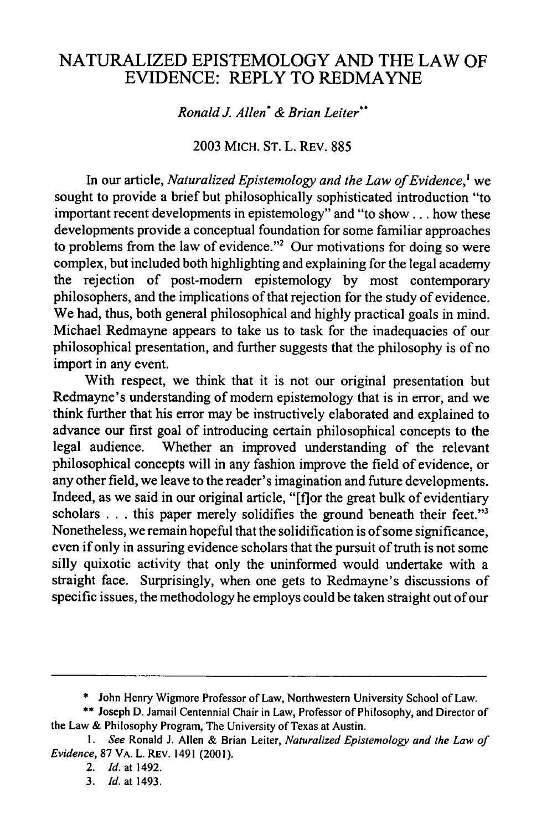## NATURALIZED EPISTEMOLOGY AND THE LAW OF EVIDENCE: REPLY TO REDMAYNE

*Ronald J. Allen\* & Brian Leiter"*

**2003** MICH. ST. L. REV. 885

In our article, *Naturalized Epistemology and the Law of Evidence,'* we sought to provide a brief but philosophically sophisticated introduction "to important recent developments in epistemology" and "to show... how these developments provide a conceptual foundation for some familiar approaches to problems from the law of evidence."<sup>2</sup> Our motivations for doing so were complex, but included both highlighting and explaining for the legal academy the rejection of post-modem epistemology by most contemporary philosophers, and the implications of that rejection for the study of evidence. We had, thus, both general philosophical and highly practical goals in mind. Michael Redmayne appears to take us to task for the inadequacies of our philosophical presentation, and further suggests that the philosophy is of no import in any event.

With respect, we think that it is not our original presentation but Redmayne's understanding of modem epistemology that is in error, and we think further that his error may be instructively elaborated and explained to advance our first goal of introducing certain philosophical concepts to the legal audience. Whether an improved understanding of the relevant philosophical concepts will in any fashion improve the field of evidence, or any other field, we leave to the reader's imagination and future developments. Indeed, as we said in our original article, "[f]or the great bulk of evidentiary scholars . . . this paper merely solidifies the ground beneath their feet."<sup>3</sup> Nonetheless, we remain hopeful that the solidification is of some significance, even if only in assuring evidence scholars that the pursuit of truth is not some silly quixotic activity that only the uninformed would undertake with a straight face. Surprisingly, when one gets to Redmayne's discussions of specific issues, the methodology he employs could be taken straight out of our

<sup>\*</sup> John Henry Wigmore Professor of Law, Northwestern University School of Law.

<sup>\*\*</sup> Joseph D. Jamail Centennial Chair in Law, Professor of Philosophy, and Director of the Law & Philosophy Program, The University of Texas at Austin.

*I. See* Ronald **J.** Allen & Brian Leiter, *Naturalized Epistemology and the Law* of *Evidence,* 87 VA. L. REV. 1491 (2001).

<sup>2.</sup> *Id.* at 1492.

<sup>3.</sup> *Id.* at 1493.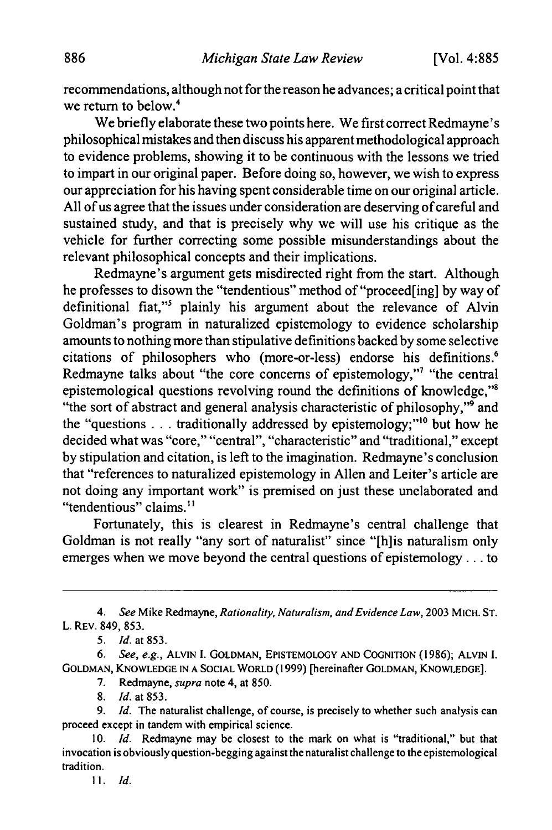recommendations, although not for the reason he advances; a critical point that we return to below.<sup>4</sup>

We briefly elaborate these two points here. We first correct Redmayne's philosophical mistakes and then discuss his apparent methodological approach to evidence problems, showing it to be continuous with the lessons we tried to impart in our original paper. Before doing so, however, we wish to express our appreciation for his having spent considerable time on our original article. All of us agree that the issues under consideration are deserving of careful and sustained study, and that is precisely why we will use his critique as the vehicle for further correcting some possible misunderstandings about the relevant philosophical concepts and their implications.

Redmayne's argument gets misdirected right from the start. Although he professes to disown the "tendentious" method of "proceed[ing] by way of definitional fiat,"<sup>5</sup> plainly his argument about the relevance of Alvin Goldman's program in naturalized epistemology to evidence scholarship amounts to nothing more than stipulative definitions backed by some selective citations of philosophers who (more-or-less) endorse his definitions.' Redmayne talks about "the core concerns of epistemology,"<sup>7</sup> "the central epistemological questions revolving round the definitions of knowledge,"8 "the sort of abstract and general analysis characteristic of philosophy,"<sup>9</sup> and the "questions  $\ldots$  traditionally addressed by epistemology;"<sup>10</sup> but how he decided what was "core," "central", "characteristic" and "traditional," except by stipulation and citation, is left to the imagination. Redmayne's conclusion that "references to naturalized epistemology in Allen and Leiter's article are not doing any important work" is premised on just these unelaborated and "tendentious" claims.<sup>11</sup>

Fortunately, this is clearest in Redmayne's central challenge that Goldman is not really "any sort of naturalist" since "[h]is naturalism only emerges when we move beyond the central questions of epistemology.., to

4. See Mike Redmayne, *Rationality, Naturalism, and Evidence Law,* 2003 MICH. ST. L. REV. 849, 853.

*5. Id. at* 853.

*6. See, e.g.,* ALVIN I. GOLDMAN, EPISTEMOLOGY AND COGNITION (1986); ALVIN I. GOLDMAN, KNOWLEDGE IN A SOCIAL WORLD (1999) [hereinafter GOLDMAN, KNOWLEDGE].

7. Redmayne, *supra* note 4, at 850.

8. *Id.* at 853.

9. *Id.* The naturalist challenge, of course, is precisely to whether such analysis can proceed except in tandem with empirical science.

<sup>10.</sup> *Id.* Redmayne may be closest to the mark on what is "traditional," but that invocation is obviouslyquestion-begging against the naturalist challenge to the epistemological tradition.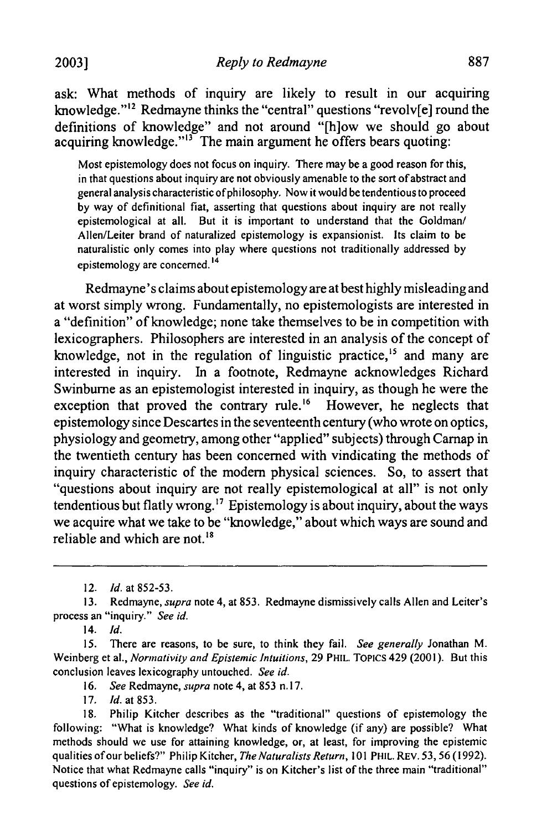ask: What methods of inquiry are likely to result in our acquiring knowledge." $12$  Redmayne thinks the "central" questions "revolv[e] round the definitions of knowledge" and not around "[h]ow we should go about acquiring knowledge."<sup>13</sup> The main argument he offers bears quoting:

Most epistemology does not focus on inquiry. There may be a good reason for this, in that questions about inquiry are not obviously amenable to the sort of abstract and general analysis characteristic of philosophy. Now it would be tendentious to proceed by way of definitional fiat, asserting that questions about inquiry are not really epistemological at all. But it is important to understand that the Goldman/ Allen/Leiter brand of naturalized epistemology is expansionist. Its claim to be naturalistic only comes into play where questions not traditionally addressed by epistemology are concerned. <sup>14</sup>

Redmayne's claims about epistemology are at best highly misleading and at worst simply wrong. Fundamentally, no epistemologists are interested in a "definition" of knowledge; none take themselves to be in competition with lexicographers. Philosophers are interested in an analysis of the concept of knowledge, not in the regulation of linguistic practice,<sup>15</sup> and many are interested in inquiry. In a footnote, Redmayne acknowledges Richard Swinburne as an epistemologist interested in inquiry, as though he were the exception that proved the contrary rule.<sup>16</sup> However, he neglects that epistemology since Descartes in the seventeenth century (who wrote on optics, physiology and geometry, among other "applied" subjects) through Carnap in the twentieth century has been concerned with vindicating the methods of inquiry characteristic of the modem physical sciences. So, to assert that "questions about inquiry are not really epistemological at all" is not only tendentious but flatly wrong.<sup>17</sup> Epistemology is about inquiry, about the ways we acquire what we take to be "knowledge," about which ways are sound and reliable and which are not. $18$ 

14. *Id.*

*15.* There are reasons, to be sure, to think they fail. *See generally* Jonathan M. Weinberg et al., Normativity and Epistemic Intuitions, 29 PHIL. TOPICS 429 (2001). But this conclusion leaves lexicography untouched. *See id.*

- *16. See* Redmayne, *supra* note 4, at 853 n.17.
- **17.** *Id.* at 853.

<sup>12.</sup> *Id.* at 852-53.

<sup>13.</sup> Redmayne, *supra* note 4, at 853. Redmayne dismissively calls Allen and Leiter's process an "inquiry." *See id.*

<sup>18.</sup> Philip Kitcher describes as the "traditional" questions of epistemology the following: "What is knowledge? What kinds of knowledge (if any) are possible? What methods should we use for attaining knowledge, or, at least, for improving the epistemic qualities of our beliefs?" Philip Kitcher, *The Naturalists Return,* 101 PHIL. REV. 53, 56 (1992). Notice that what Redmayne calls "inquiry" is on Kitcher's list of the three main "traditional" questions of epistemology. *See id.*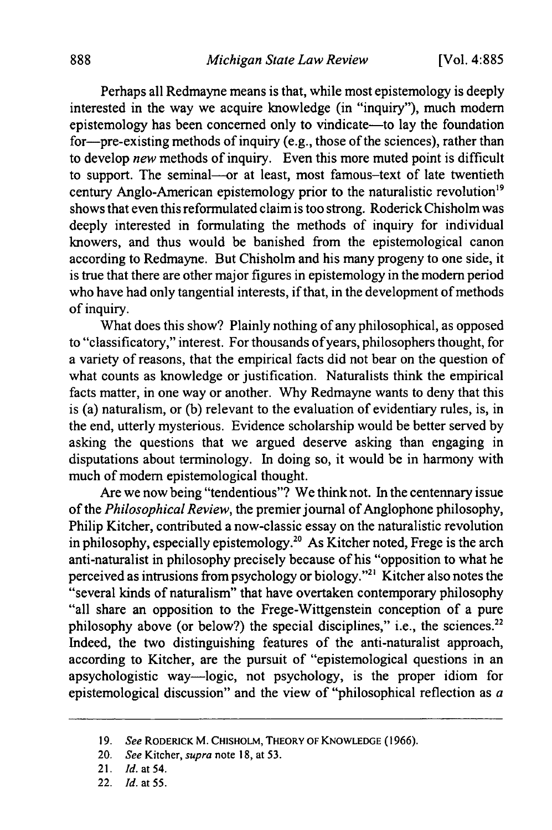Perhaps all Redmayne means is that, while most epistemology is deeply interested in the way we acquire knowledge (in "inquiry"), much modem epistemology has been concerned only to vindicate-to lay the foundation for-pre-existing methods of inquiry (e.g., those of the sciences), rather than to develop *new* methods of inquiry. Even this more muted point is difficult to support. The seminal-or at least, most famous-text of late twentieth century Anglo-American epistemology prior to the naturalistic revolution<sup>19</sup> shows that even this reformulated claim is too strong. Roderick Chisholm was deeply interested in formulating the methods of inquiry for individual knowers, and thus would be banished from the epistemological canon according to Redmayne. But Chisholm and his many progeny to one side, it is true that there are other major figures in epistemology in the modem period who have had only tangential interests, if that, in the development of methods of inquiry.

What does this show? Plainly nothing of any philosophical, as opposed to "classificatory," interest. For thousands of years, philosophers thought, for a variety of reasons, that the empirical facts did not bear on the question of what counts as knowledge or justification. Naturalists think the empirical facts matter, in one way or another. Why Redmayne wants to deny that this is (a) naturalism, or (b) relevant to the evaluation of evidentiary rules, is, in the end, utterly mysterious. Evidence scholarship would be better served by asking the questions that we argued deserve asking than engaging in disputations about terminology. In doing so, it would be in harmony with much of modem epistemological thought.

Are we now being "tendentious"? We think not. In the centennary issue of the *Philosophical Review,* the premier journal of Anglophone philosophy, Philip Kitcher, contributed a now-classic essay on the naturalistic revolution in philosophy, especially epistemology.<sup>20</sup> As Kitcher noted, Frege is the arch anti-naturalist in philosophy precisely because of his "opposition to what he perceived as intrusions from psychology or biology."2' Kitcher also notes the "several kinds of naturalism" that have overtaken contemporary philosophy "all share an opposition to the Frege-Wittgenstein conception of a pure philosophy above (or below?) the special disciplines," i.e., the sciences.<sup>22</sup> Indeed, the two distinguishing features of the anti-naturalist approach, according to Kitcher, are the pursuit of "epistemological questions in an apsychologistic way-logic, not psychology, is the proper idiom for epistemological discussion" and the view of "philosophical reflection as *a*

<sup>19.</sup> See RODERICK M. **CHISHOLM,** THEORY OF **KNOWLEDGE** (1966).

<sup>20.</sup> See Kitcher, *supra* note 18, at 53.

<sup>21.</sup> *Id. at* 54.

<sup>22.</sup> Id. *at* 55.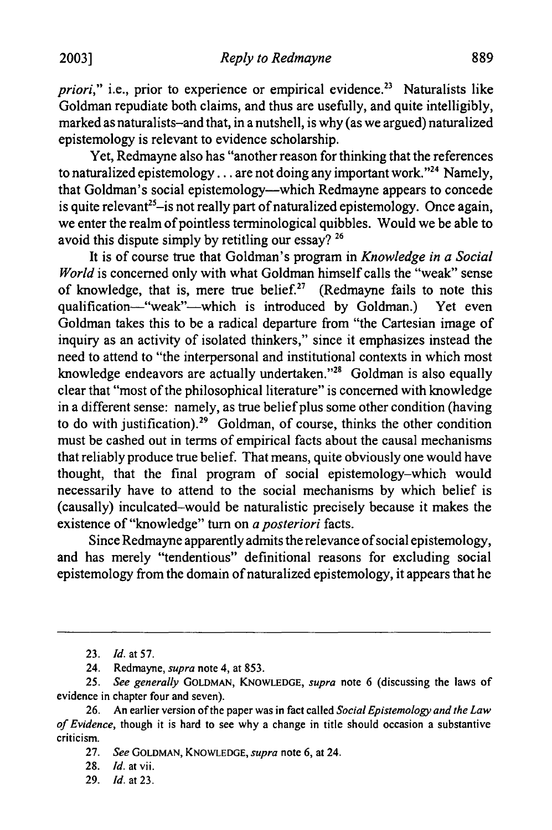*priori*," *i.e.*, prior to experience or empirical evidence.<sup>23</sup> Naturalists like Goldman repudiate both claims, and thus are usefully, and quite intelligibly, marked as naturalists-and that, in a nutshell, is why (as we argued) naturalized epistemology is relevant to evidence scholarship.

Yet, Redmayne also has "another reason for thinking that the references to naturalized epistemology... are not doing any important work."24 Namely, that Goldman's social epistemology-which Redmayne appears to concede is quite relevant<sup>25-is</sup> not really part of naturalized epistemology. Once again, we enter the realm of pointless terminological quibbles. Would we be able to avoid this dispute simply by retitling our essay? **26**

It is of course true that Goldman's program in *Knowledge in a Social World* is concerned only with what Goldman himself calls the "weak" sense of knowledge, that is, mere true belief.<sup>27</sup> (Redmayne fails to note this qualification-"weak"-which is introduced by Goldman.) Yet even Goldman takes this to be a radical departure from "the Cartesian image of inquiry as an activity of isolated thinkers," since it emphasizes instead the need to attend to "the interpersonal and institutional contexts in which most knowledge endeavors are actually undertaken."28 Goldman is also equally clear that "most of the philosophical literature" is concerned with knowledge in a different sense: namely, as true belief plus some other condition (having to do with justification).29 Goldman, of course, thinks the other condition must be cashed out in terms of empirical facts about the causal mechanisms that reliably produce true belief. That means, quite obviously one would have thought, that the final program of social epistemology-which would necessarily have to attend to the social mechanisms by which belief is (causally) inculcated-would be naturalistic precisely because it makes the existence of "knowledge" turn on *a posteriori* facts.

Since Redmayne apparently admits the relevance of social epistemology, and has merely "tendentious" definitional reasons for excluding social epistemology from the domain of naturalized epistemology, it appears that he

29. *Id.* at 23.

<sup>23.</sup> *Id.* at 57.

<sup>24.</sup> Redmayne, supra note 4, at 853.

<sup>25.</sup> See generally **GOLDMAN, KNOWLEDGE,** supra note **6** (discussing the laws of evidence in chapter four and seven).

<sup>26.</sup> An earlier version of the paper was in fact called Social Epistemology and the Law of Evidence, though it is hard to see why a change in title should occasion a substantive criticism.

<sup>27.</sup> See **GOLDMAN, KNOWLEDGE,** supra note 6, at 24.

<sup>28.</sup> Id. at vii.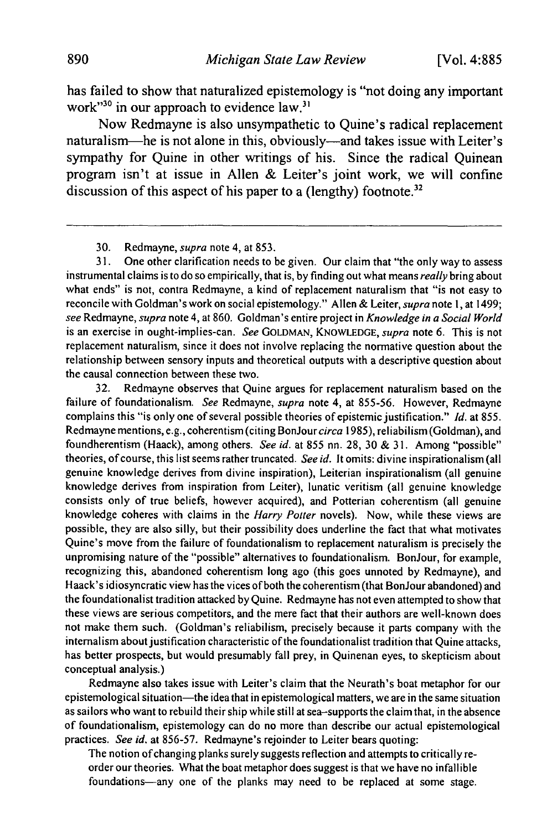has failed to show that naturalized epistemology is "not doing any important work"<sup>30</sup> in our approach to evidence law.<sup>31</sup>

Now Redmayne is also unsympathetic to Quine's radical replacement naturalism-he is not alone in this, obviously-and takes issue with Leiter's sympathy for Quine in other writings of his. Since the radical Quinean program isn't at issue in Allen & Leiter's joint work, we will confine discussion of this aspect of his paper to a (lengthy) footnote.<sup>32</sup>

30. Redmayne, *supra* note 4, at 853.

31. One other clarification needs to be given. Our claim that "the only way to assess instrumental claims is to do so empirically, that is, by finding out what means really bring about what ends" is not, contra Redmayne, a kind of replacement naturalism that "is not easy to reconcile with Goldman's work on social epistemology." Allen & Leiter, *supra* note **1,** at 1499; see Redmayne, *supra* note 4, at 860. Goldman's entire project in *Knowledge in a Social* World is an exercise in ought-implies-can. See GOLDMAN, **KNOWLEDGE,** supra note 6. This is not replacement naturalism, since it does not involve replacing the normative question about the relationship between sensory inputs and theoretical outputs with a descriptive question about the causal connection between these two.

32. Redmayne observes that Quine argues for replacement naturalism based on the failure of foundationalism. See Redmayne, supra note 4, at 855-56. However, Redmayne complains this "is only one of several possible theories of epistemic justification." Id. at 855. Redmayne mentions, e.g., coherentism (citing BonJour circa 1985), reliabilism (Goldman), and foundherentism (Haack), among others. See *id.* at 855 nn. 28, 30 & 31. Among "possible" theories, of course, this list seems rather truncated. See id. It omits: divine inspirationalism (all genuine knowledge derives from divine inspiration), Leiterian inspirationalism (all genuine knowledge derives from inspiration from Leiter), lunatic veritism (all genuine knowledge consists only of true beliefs, however acquired), and Potterian coherentism (all genuine knowledge coheres with claims in the Harry Potter novels). Now, while these views are possible, they are also silly, but their possibility does underline the fact that what motivates Quine's move from the failure of foundationalism to replacement naturalism is precisely the unpromising nature of the "possible" alternatives to foundationalism. BonJour, for example, recognizing this, abandoned coherentism long ago (this goes unnoted by Redmayne), and Haack's idiosyncratic view has the vices of both the coherentism (that BonJour abandoned) and the foundationalist tradition attacked by Quine. Redmayne has not even attempted to show that these views are serious competitors, and the mere fact that their authors are well-known does not make them such. (Goldman's reliabilism, precisely because it parts company with the internalism about justification characteristic of the foundationalist tradition that Quine attacks, has better prospects, but would presumably fall prey, in Quinenan eyes, to skepticism about conceptual analysis.)

Redmayne also takes issue with Leiter's claim that the Neurath's boat metaphor for our epistemological situation—the idea that in epistemological matters, we are in the same situation as sailors who want to rebuild their ship while still at sea-supports the claim that, in the absence of foundationalism, epistemology can do no more than describe our actual epistemological practices. See id. at 856-57. Redmayne's rejoinder to Leiter bears quoting:

The notion of changing planks surely suggests reflection and attempts to critically reorder our theories. What the boat metaphor does suggest is that we have no infallible foundations-any one of the planks may need to be replaced at some stage.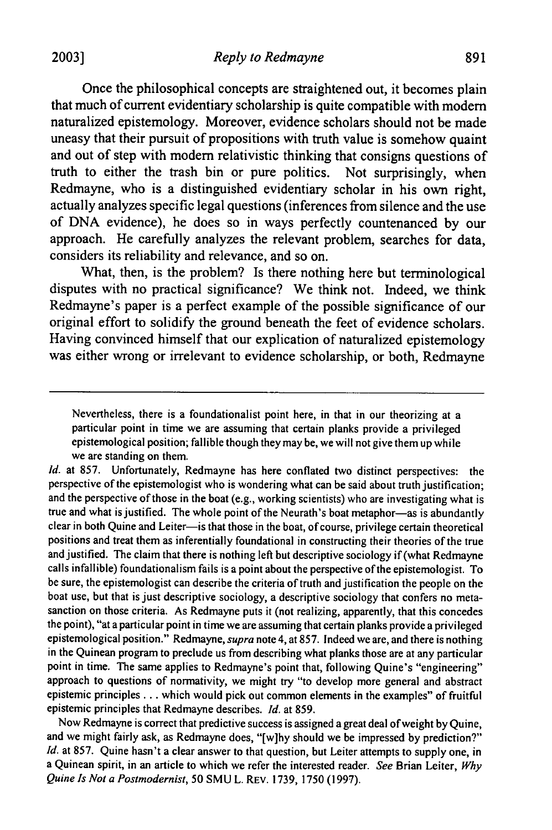Once the philosophical concepts are straightened out, it becomes plain that much of current evidentiary scholarship is quite compatible with modem naturalized epistemology. Moreover, evidence scholars should not be made uneasy that their pursuit of propositions with truth value is somehow quaint and out of step with modem relativistic thinking that consigns questions of truth to either the trash bin or pure politics. Not surprisingly, when Redmayne, who is a distinguished evidentiary scholar in his own right, actually analyzes specific legal questions (inferences from silence and the use of DNA evidence), he does so in ways perfectly countenanced by our approach. He carefully analyzes the relevant problem, searches for data, considers its reliability and relevance, and so on.

What, then, is the problem? Is there nothing here but terminological disputes with no practical significance? We think not. Indeed, we think Redmayne's paper is a perfect example of the possible significance of our original effort to solidify the ground beneath the feet of evidence scholars. Having convinced himself that our explication of naturalized epistemology was either wrong or irrelevant to evidence scholarship, or both, Redmayne

Nevertheless, there is a foundationalist point here, in that in our theorizing at a particular point in time we are assuming that certain planks provide a privileged epistemological position; fallible though they may be, we will not give them up while we are standing on them.

*Id.* at 857. Unfortunately, Redmayne has here conflated two distinct perspectives: the perspective of the epistemologist who is wondering what can be said about truth justification; and the perspective of those in the boat (e.g., working scientists) who are investigating what is true and what is justified. The whole point of the Neurath's boat metaphor-as is abundantly clear in both Quine and Leiter-is that those in the boat, of course, privilege certain theoretical positions and treat them as inferentially foundational in constructing their theories of the true and justified. The claim that there is nothing left but descriptive sociology if (what Redmayne calls infallible) foundationalism fails is a point about the perspective of the epistemologist. To be sure, the epistemologist can describe the criteria of truth and justification the people on the boat use, but that is just descriptive sociology, a descriptive sociology that confers no metasanction on those criteria. As Redmayne puts it (not realizing, apparently, that this concedes the point), "at a particular point in time we are assuming that certain planks provide a privileged epistemological position." Redmayne, *supra* note 4, at 857. Indeed we are, and there is nothing in the Quinean program to preclude us from describing what planks those are at any particular point in time. The same applies to Redmayne's point that, following Quine's "engineering" approach to questions of normativity, we might try "to develop more general and abstract epistemic principles.., which would pick out common elements in the examples" of fruitful epistemic principles that Redmayne describes. *Id.* at 859.

Now Redmayne is correct that predictive success is assigned a great deal of weight by Quine, and we might fairly ask, as Redmayne does, "[w]hy should we be impressed by prediction?" *Id.* at 857. Quine hasn't a clear answer to that question, but Leiter attempts to supply one, in a Quinean spirit, in an article to which we refer the interested reader. *See* Brian Leiter, *Why Quine Is Not a Postmodernist,* 50 SMU L. REV. 1739, 1750 (1997).